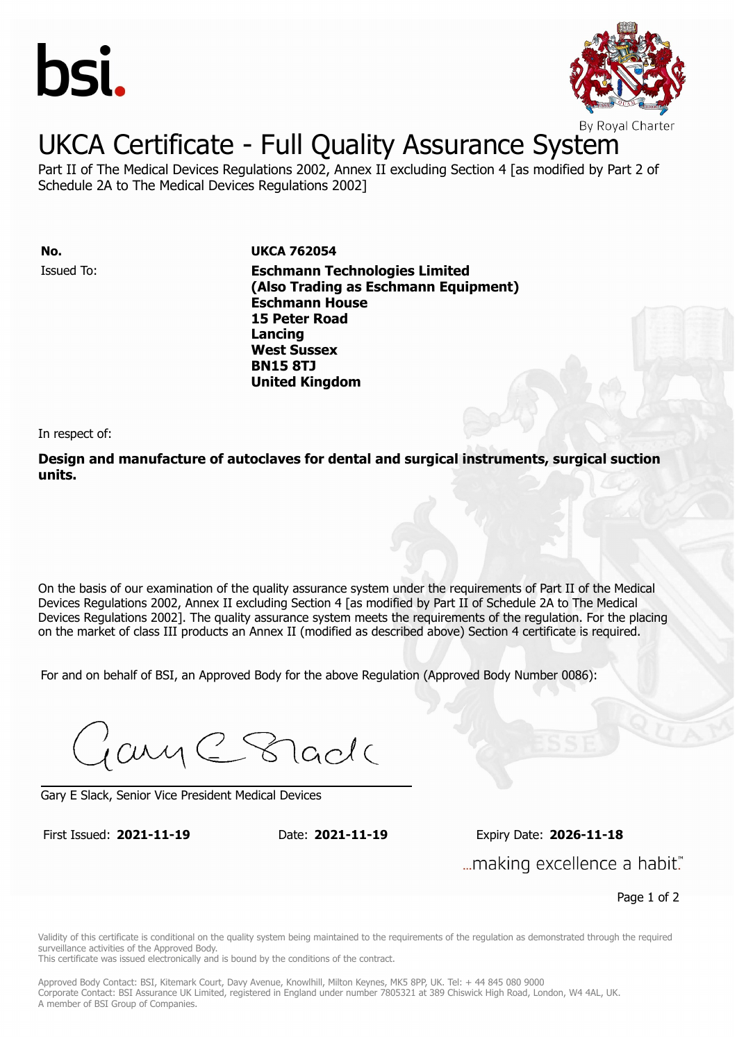



## UKCA Certificate - Full Quality Assurance System

Part II of The Medical Devices Regulations 2002, Annex II excluding Section 4 [as modified by Part 2 of Schedule 2A to The Medical Devices Regulations 2002]

Issued To: **Eschmann Technologies Limited No. UKCA 762054**

**(Also Trading as Eschmann Equipment) Eschmann House** Issued To: **Eschmann Technologies Limited 15 Peter Road (Also Trading as Eschmann Equipment) Lancing Eschmann House 15 Peter Road Lancing** West Sussex **BN15 8TJ United Kingdom**

In respect of:

**Design and manufacture of autoclaves for dental and surgical instruments, surgical suction units.**

On the basis of our examination of the quality assurance system under the requirements of Part II of the Medical Devices Regulations 2002, Annex II excluding Section 4 [as modified by Part II of Schedule 2A to The Medical Devices Regulations 2002]. The quality assurance system meets the requirements of the regulation. For the placing on the market of class III products an Annex II (modified as described above) Section 4 certificate is required.

For and on behalf of BSI, an Approved Body for the above Regulation (Approved Body Number 0086):

Gary C Stade

Gary E Slack, Senior Vice President Medical Devices

First Issued: **2021-11-19** Date: **2021-11-19** Expiry Date: **2026-11-18** First Issued: **2021-11-19** Date: **2021-11-19** Expiry Date: **2026-11-18** "...making excellence a habit.

Page 1 of 2

Validity of this certificate is conditional on the quality system being maintained to the requirements of the requlation as demonstrated through the required surveillance activities of the Approved Body.

This certificate was issued electronically and is bound by the conditions of the contract.

Approved Body Contact: BSI, Kitemark Court, Davy Avenue, Knowlhill, Milton Keynes, MK5 8PP, UK. Tel: + 44 845 080 9000 Corporate Contact: BSI Assurance UK Limited, registered in England under number 7805321 at 389 Chiswick High Road, London, W4 4AL, UK. A member of BSI Group of Companies.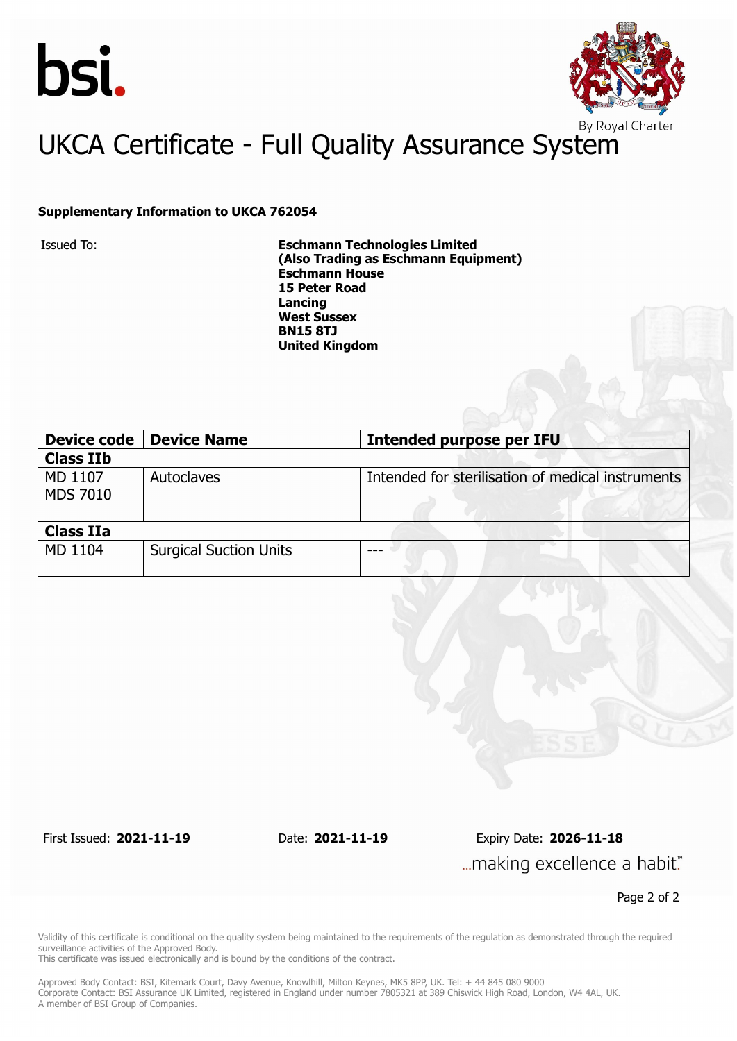



## UKCA Certificate - Full Quality Assurance System

## **Supplementary Information to UKCA 762054**

Issued To: **Eschmann Technologies Limited (Also Trading as Eschmann Equipment) Eschmann House 15 Peter Road Lancing West Sussex BN15 8TJ United Kingdom**

| <b>Device code</b>         | <b>Device Name</b>            | <b>Intended purpose per IFU</b>                   |  |
|----------------------------|-------------------------------|---------------------------------------------------|--|
| <b>Class IIb</b>           |                               |                                                   |  |
| MD 1107<br><b>MDS 7010</b> | Autoclaves                    | Intended for sterilisation of medical instruments |  |
| <b>Class IIa</b>           |                               |                                                   |  |
| MD 1104                    | <b>Surgical Suction Units</b> | ---                                               |  |

First Issued: **2021-11-19** Date: **2021-11-19** Expiry Date: **2026-11-18** ... making excellence a habit."

Page 2 of 2

Validity of this certificate is conditional on the quality system being maintained to the requirements of the regulation as demonstrated through the required surveillance activities of the Approved Body.

This certificate was issued electronically and is bound by the conditions of the contract.

Approved Body Contact: BSI, Kitemark Court, Davy Avenue, Knowlhill, Milton Keynes, MK5 8PP, UK. Tel: + 44 845 080 9000 Corporate Contact: BSI Assurance UK Limited, registered in England under number 7805321 at 389 Chiswick High Road, London, W4 4AL, UK. A member of BSI Group of Companies.